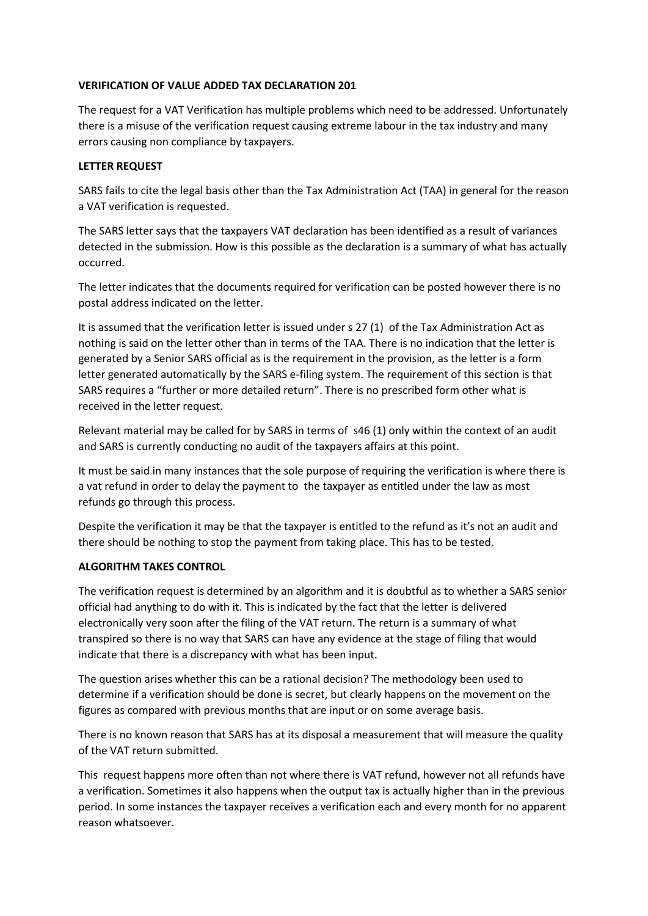#### **VERIFICATION OF VALUE ADDED TAX DECLARATION 201**

The request for a VAT Verification has multiple problems which need to be addressed. Unfortunately there is a misuse of the verification request causing extreme labour in the tax industry and many errors causing non compliance by taxpayers.

## **LETTER REQUEST**

SARS fails to cite the legal basis other than the Tax Administration Act (TAA) in general for the reason a VAT verification is requested.

The SARS letter says that the taxpayers VAT declaration has been identified as a result of variances detected in the submission. How is this possible as the declaration is a summary of what has actually occurred.

The letter indicates that the documents required for verification can be posted however there is no postal address indicated on the letter.

It is assumed that the verification letter is issued under s 27 (1) of the Tax Administration Act as nothing is said on the letter other than in terms of the TAA. There is no indication that the letter is generated by a Senior SARS official as is the requirement in the provision, as the letter is a form letter generated automatically by the SARS e-filing system. The requirement of this section is that SARS requires a "further or more detailed return". There is no prescribed form other what is received in the letter request.

Relevant material may be called for by SARS in terms of s46 (1) only within the context of an audit and SARS is currently conducting no audit of the taxpayers affairs at this point.

It must be said in many instances that the sole purpose of requiring the verification is where there is a vat refund in order to delay the payment to the taxpayer as entitled under the law as most refunds go through this process.

Despite the verification it may be that the taxpayer is entitled to the refund as it's not an audit and there should be nothing to stop the payment from taking place. This has to be tested.

# **ALGORITHM TAKES CONTROL**

The verification request is determined by an algorithm and it is doubtful as to whether a SARS senior official had anything to do with it. This is indicated by the fact that the letter is delivered electronically very soon after the filing of the VAT return. The return is a summary of what transpired so there is no way that SARS can have any evidence at the stage of filing that would indicate that there is a discrepancy with what has been input.

The question arises whether this can be a rational decision? The methodology been used to determine if a verification should be done is secret, but clearly happens on the movement on the figures as compared with previous months that are input or on some average basis.

There is no known reason that SARS has at its disposal a measurement that will measure the quality of the VAT return submitted.

This request happens more often than not where there is VAT refund, however not all refunds have a verification. Sometimes it also happens when the output tax is actually higher than in the previous period. In some instances the taxpayer receives a verification each and every month for no apparent reason whatsoever.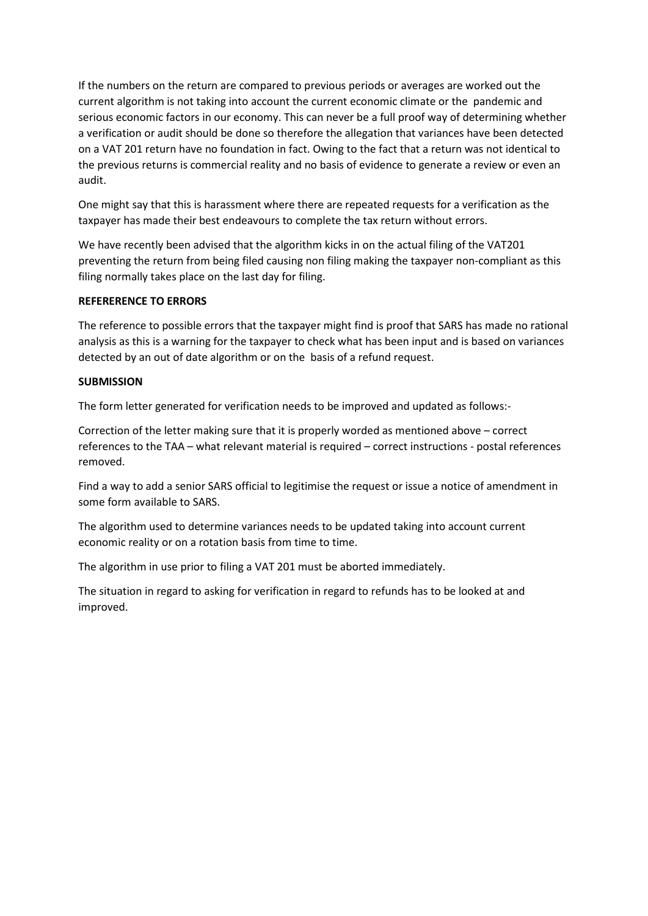If the numbers on the return are compared to previous periods or averages are worked out the current algorithm is not taking into account the current economic climate or the pandemic and serious economic factors in our economy. This can never be a full proof way of determining whether a verification or audit should be done so therefore the allegation that variances have been detected on a VAT 201 return have no foundation in fact. Owing to the fact that a return was not identical to the previous returns is commercial reality and no basis of evidence to generate a review or even an audit.

One might say that this is harassment where there are repeated requests for a verification as the taxpayer has made their best endeavours to complete the tax return without errors.

We have recently been advised that the algorithm kicks in on the actual filing of the VAT201 preventing the return from being filed causing non filing making the taxpayer non-compliant as this filing normally takes place on the last day for filing.

## **REFERERENCE TO ERRORS**

The reference to possible errors that the taxpayer might find is proof that SARS has made no rational analysis as this is a warning for the taxpayer to check what has been input and is based on variances detected by an out of date algorithm or on the basis of a refund request.

## **SUBMISSION**

The form letter generated for verification needs to be improved and updated as follows:-

Correction of the letter making sure that it is properly worded as mentioned above – correct references to the TAA – what relevant material is required – correct instructions - postal references removed.

Find a way to add a senior SARS official to legitimise the request or issue a notice of amendment in some form available to SARS.

The algorithm used to determine variances needs to be updated taking into account current economic reality or on a rotation basis from time to time.

The algorithm in use prior to filing a VAT 201 must be aborted immediately.

The situation in regard to asking for verification in regard to refunds has to be looked at and improved.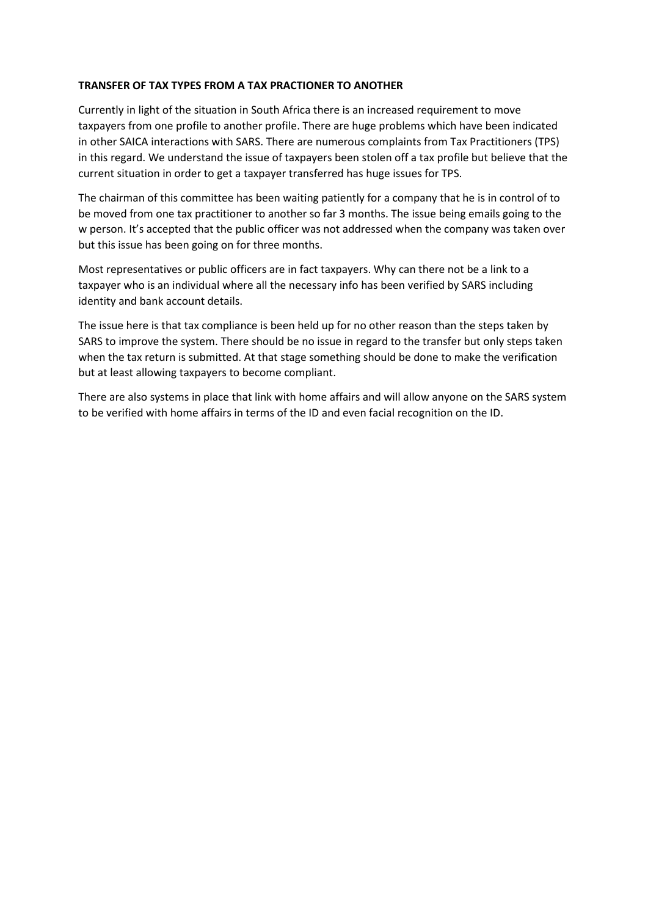#### **TRANSFER OF TAX TYPES FROM A TAX PRACTIONER TO ANOTHER**

Currently in light of the situation in South Africa there is an increased requirement to move taxpayers from one profile to another profile. There are huge problems which have been indicated in other SAICA interactions with SARS. There are numerous complaints from Tax Practitioners (TPS) in this regard. We understand the issue of taxpayers been stolen off a tax profile but believe that the current situation in order to get a taxpayer transferred has huge issues for TPS.

The chairman of this committee has been waiting patiently for a company that he is in control of to be moved from one tax practitioner to another so far 3 months. The issue being emails going to the w person. It's accepted that the public officer was not addressed when the company was taken over but this issue has been going on for three months.

Most representatives or public officers are in fact taxpayers. Why can there not be a link to a taxpayer who is an individual where all the necessary info has been verified by SARS including identity and bank account details.

The issue here is that tax compliance is been held up for no other reason than the steps taken by SARS to improve the system. There should be no issue in regard to the transfer but only steps taken when the tax return is submitted. At that stage something should be done to make the verification but at least allowing taxpayers to become compliant.

There are also systems in place that link with home affairs and will allow anyone on the SARS system to be verified with home affairs in terms of the ID and even facial recognition on the ID.